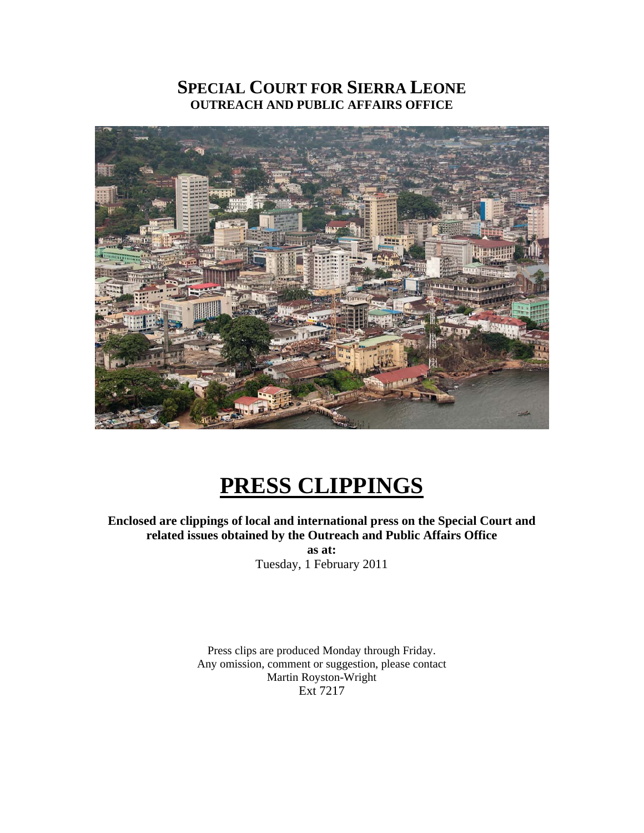# **SPECIAL COURT FOR SIERRA LEONE OUTREACH AND PUBLIC AFFAIRS OFFICE**



# **PRESS CLIPPINGS**

**Enclosed are clippings of local and international press on the Special Court and related issues obtained by the Outreach and Public Affairs Office as at:**  Tuesday, 1 February 2011

> Press clips are produced Monday through Friday. Any omission, comment or suggestion, please contact Martin Royston-Wright

Ext 7217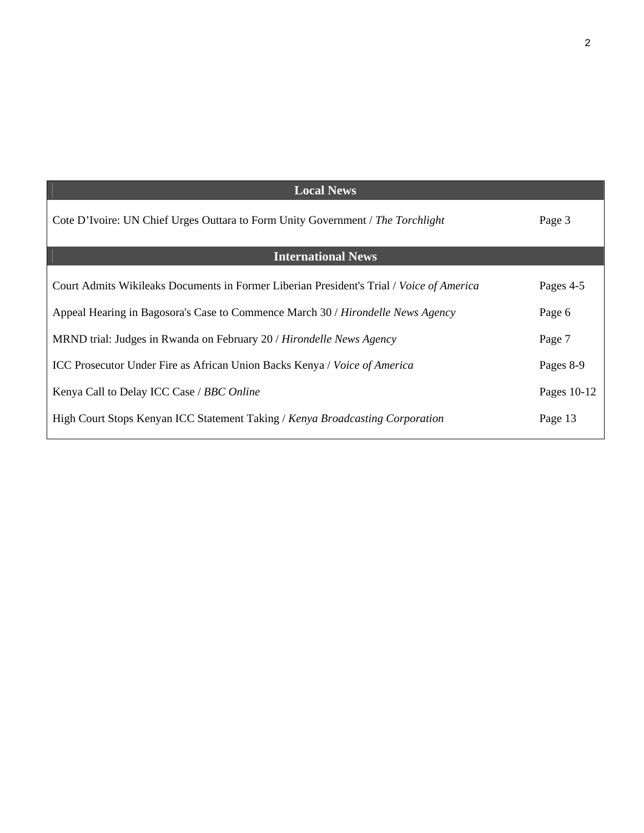| <b>Local News</b>                                                                        |             |
|------------------------------------------------------------------------------------------|-------------|
| Cote D'Ivoire: UN Chief Urges Outtara to Form Unity Government / The Torchlight          | Page 3      |
| <b>International News</b>                                                                |             |
| Court Admits Wikileaks Documents in Former Liberian President's Trial / Voice of America | Pages 4-5   |
| Appeal Hearing in Bagosora's Case to Commence March 30 / Hirondelle News Agency          | Page 6      |
| MRND trial: Judges in Rwanda on February 20 / Hirondelle News Agency                     | Page 7      |
| <b>ICC Prosecutor Under Fire as African Union Backs Kenya / Voice of America</b>         | Pages 8-9   |
| Kenya Call to Delay ICC Case / BBC Online                                                | Pages 10-12 |
| High Court Stops Kenyan ICC Statement Taking / Kenya Broadcasting Corporation            | Page 13     |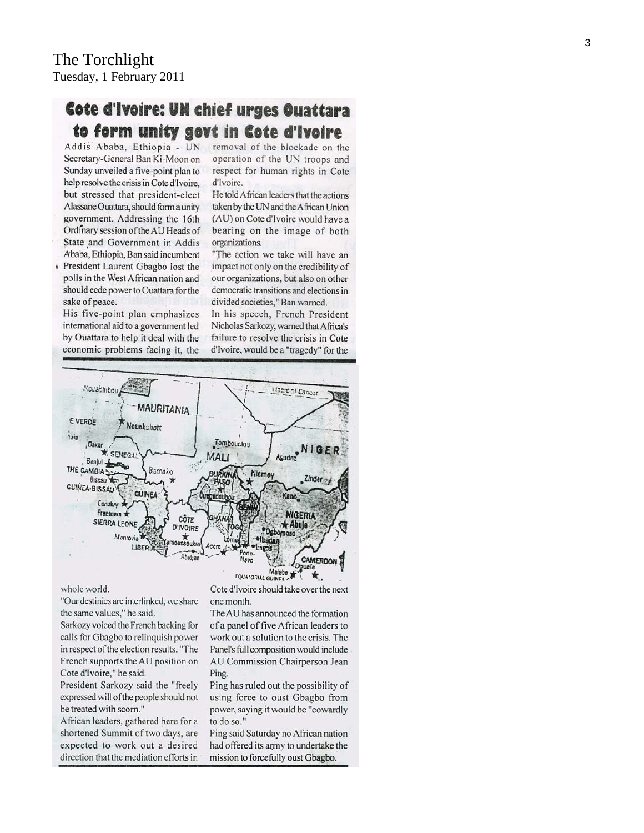# Cote d'Ivoire: UN chief urges Ouattara to form unity govt in Cote d'Ivoire

Addis Ababa, Ethiopia - UN Secretary-General Ban Ki-Moon on Sunday unveiled a five-point plan to help resolve the crisis in Cote d'Ivoire, but stressed that president-elect Alassane Ouattara, should form a unity government. Addressing the 16th Ordinary session of the AU Heads of State and Government in Addis Ababa, Ethiopia, Ban said incumbent

President Laurent Gbagbo lost the í polls in the West African nation and should cede power to Ouattara for the sake of peace.

His five-point plan emphasizes international aid to a government led by Ouattara to help it deal with the economic problems facing it, the

removal of the blockade on the operation of the UN troops and respect for human rights in Cote d'Ivoire.

He told African leaders that the actions taken by the UN and the African Union (AU) on Cote d'Ivoire would have a bearing on the image of both organizations.

"The action we take will have an impact not only on the credibility of our organizations, but also on other democratic transitions and elections in divided societies," Ban warned.

In his speech, French President Nicholas Sarkozy, warned that Africa's failure to resolve the crisis in Cote d'Ivoire, would be a "tragedy" for the



#### whole world.

"Our destinies are interlinked, we share the same values," he said.

Sarkozy voiced the French backing for calls for Gbagbo to relinquish power in respect of the election results. "The French supports the AU position on Cote d'Ivoire," he said.

President Sarkozy said the "freely expressed will of the people should not be treated with scorn."

African leaders, gathered here for a shortened Summit of two days, are expected to work out a desired direction that the mediation efforts in

Cote d'Ivoire should take over the next one month.

The AU has announced the formation of a panel of five African leaders to work out a solution to the crisis. The Panel's full composition would include AU Commission Chairperson Jean Ping.

Ping has ruled out the possibility of using force to oust Gbagbo from power, saying it would be "cowardly to do so."

Ping said Saturday no African nation had offered its army to undertake the mission to forcefully oust Gbagbo.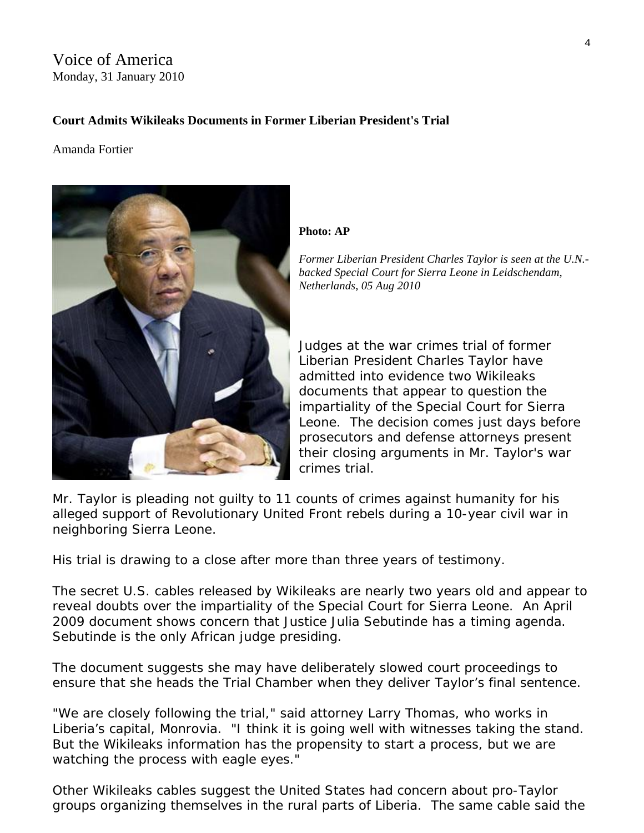## Voice of America Monday, 31 January 2010

## **Court Admits Wikileaks Documents in Former Liberian President's Trial**

Amanda Fortier



#### **Photo: AP**

*Former Liberian President Charles Taylor is seen at the U.N. backed Special Court for Sierra Leone in Leidschendam, Netherlands, 05 Aug 2010* 

Judges at the war crimes trial of former Liberian President Charles Taylor have admitted into evidence two Wikileaks documents that appear to question the impartiality of the [Special Court for Sierra](http://www.sc-sl.org/)  [Leone](http://www.sc-sl.org/). The decision comes just days before prosecutors and defense attorneys present their closing arguments in Mr. Taylor's war crimes trial.

Mr. Taylor is pleading not guilty to 11 counts of crimes against humanity for his alleged support of Revolutionary United Front rebels during a 10-year civil war in neighboring Sierra Leone.

His trial is drawing to a close after more than three years of testimony.

The secret U.S. cables released by Wikileaks are nearly two years old and appear to reveal doubts over the impartiality of the Special Court for Sierra Leone. An April 2009 document shows concern that Justice Julia Sebutinde has a timing agenda. Sebutinde is the only African judge presiding.

The document suggests she may have deliberately slowed court proceedings to ensure that she heads the Trial Chamber when they deliver Taylor's final sentence.

"We are closely following the trial," said attorney Larry Thomas, who works in Liberia's capital, Monrovia. "I think it is going well with witnesses taking the stand. But the Wikileaks information has the propensity to start a process, but we are watching the process with eagle eyes."

Other Wikileaks cables suggest the United States had concern about pro-Taylor groups organizing themselves in the rural parts of Liberia. The same cable said the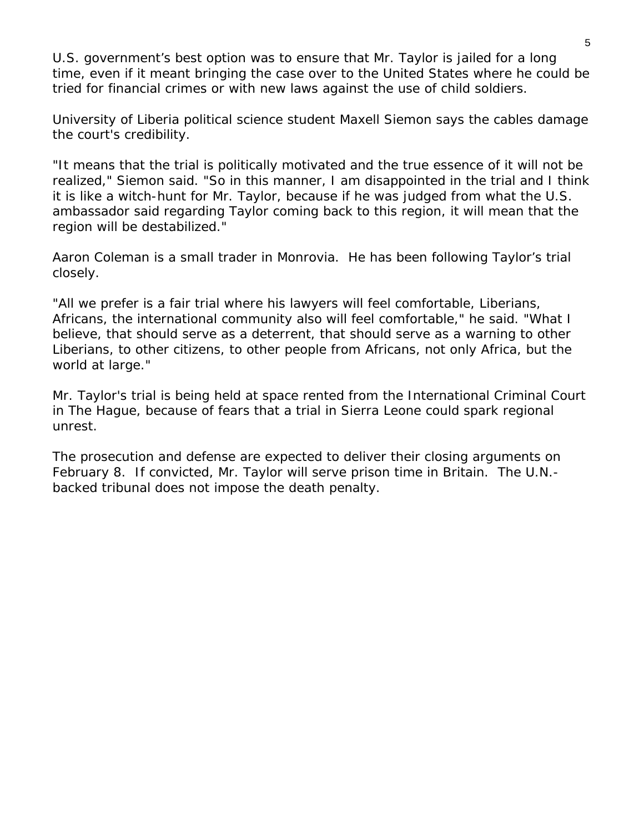U.S. government's best option was to ensure that Mr. Taylor is jailed for a long time, even if it meant bringing the case over to the United States where he could be tried for financial crimes or with new laws against the use of child soldiers.

University of Liberia political science student Maxell Siemon says the cables damage the court's credibility.

"It means that the trial is politically motivated and the true essence of it will not be realized," Siemon said. "So in this manner, I am disappointed in the trial and I think it is like a witch-hunt for Mr. Taylor, because if he was judged from what the U.S. ambassador said regarding Taylor coming back to this region, it will mean that the region will be destabilized."

Aaron Coleman is a small trader in Monrovia. He has been following Taylor's trial closely.

"All we prefer is a fair trial where his lawyers will feel comfortable, Liberians, Africans, the international community also will feel comfortable," he said. "What I believe, that should serve as a deterrent, that should serve as a warning to other Liberians, to other citizens, to other people from Africans, not only Africa, but the world at large."

Mr. Taylor's trial is being held at space rented from the International Criminal Court in The Hague, because of fears that a trial in Sierra Leone could spark regional unrest.

The prosecution and defense are expected to deliver their closing arguments on February 8. If convicted, Mr. Taylor will serve prison time in Britain. The U.N. backed tribunal does not impose the death penalty.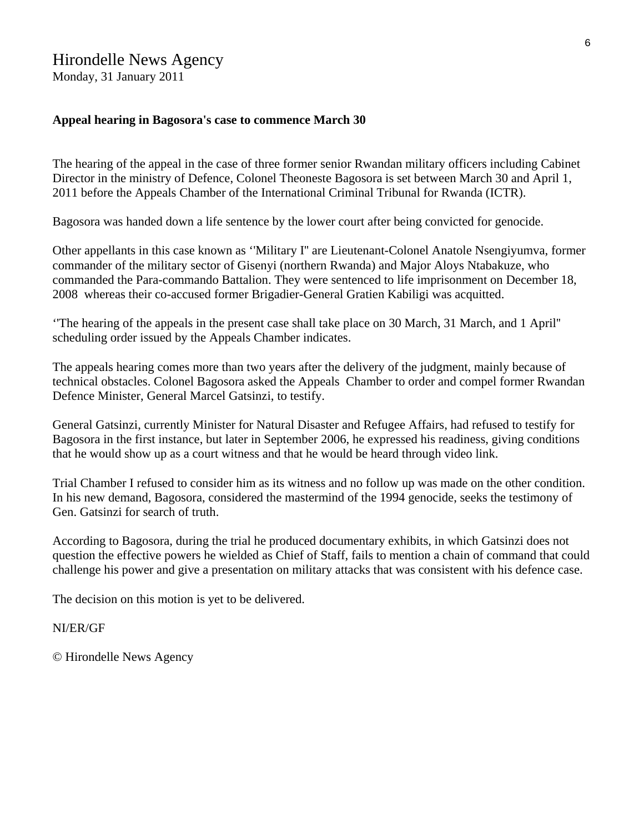## Hirondelle News Agency

Monday, 31 January 2011

#### **Appeal hearing in Bagosora's case to commence March 30**

The hearing of the appeal in the case of three former senior Rwandan military officers including Cabinet Director in the ministry of Defence, Colonel Theoneste Bagosora is set between March 30 and April 1, 2011 before the Appeals Chamber of the International Criminal Tribunal for Rwanda (ICTR).

Bagosora was handed down a life sentence by the lower court after being convicted for genocide.

Other appellants in this case known as ''Military I'' are Lieutenant-Colonel Anatole Nsengiyumva, former commander of the military sector of Gisenyi (northern Rwanda) and Major Aloys Ntabakuze, who commanded the Para-commando Battalion. They were sentenced to life imprisonment on December 18, 2008 whereas their co-accused former Brigadier-General Gratien Kabiligi was acquitted.

''The hearing of the appeals in the present case shall take place on 30 March, 31 March, and 1 April'' scheduling order issued by the Appeals Chamber indicates.

The appeals hearing comes more than two years after the delivery of the judgment, mainly because of technical obstacles. Colonel Bagosora asked the Appeals Chamber to order and compel former Rwandan Defence Minister, General Marcel Gatsinzi, to testify.

General Gatsinzi, currently Minister for Natural Disaster and Refugee Affairs, had refused to testify for Bagosora in the first instance, but later in September 2006, he expressed his readiness, giving conditions that he would show up as a court witness and that he would be heard through video link.

Trial Chamber I refused to consider him as its witness and no follow up was made on the other condition. In his new demand, Bagosora, considered the mastermind of the 1994 genocide, seeks the testimony of Gen. Gatsinzi for search of truth.

According to Bagosora, during the trial he produced documentary exhibits, in which Gatsinzi does not question the effective powers he wielded as Chief of Staff, fails to mention a chain of command that could challenge his power and give a presentation on military attacks that was consistent with his defence case.

The decision on this motion is yet to be delivered.

#### NI/ER/GF

© Hirondelle News Agency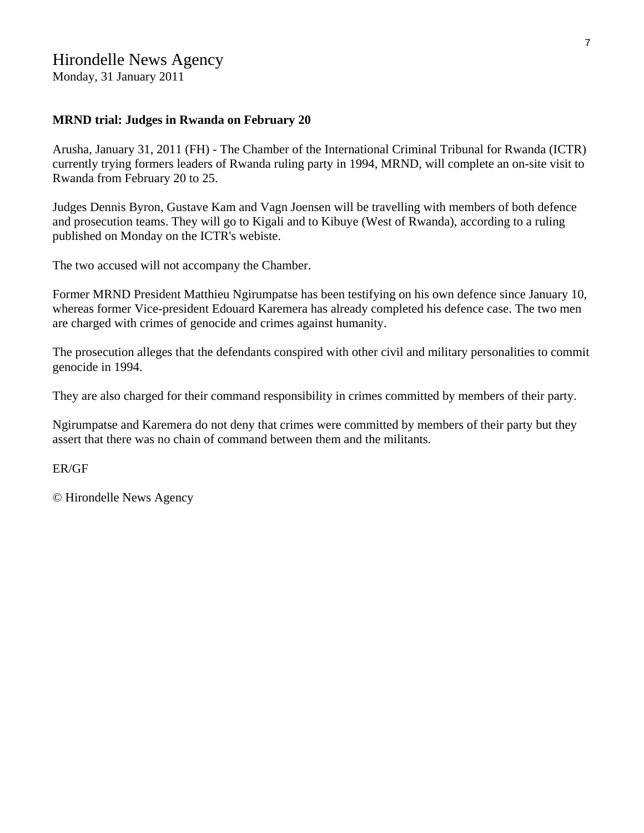## Hirondelle News Agency

Monday, 31 January 2011

#### **MRND trial: Judges in Rwanda on February 20**

Arusha, January 31, 2011 (FH) - The Chamber of the International Criminal Tribunal for Rwanda (ICTR) currently trying formers leaders of Rwanda ruling party in 1994, MRND, will complete an on-site visit to Rwanda from February 20 to 25.

Judges Dennis Byron, Gustave Kam and Vagn Joensen will be travelling with members of both defence and prosecution teams. They will go to Kigali and to Kibuye (West of Rwanda), according to a ruling published on Monday on the ICTR's webiste.

The two accused will not accompany the Chamber.

Former MRND President Matthieu Ngirumpatse has been testifying on his own defence since January 10, whereas former Vice-president Edouard Karemera has already completed his defence case. The two men are charged with crimes of genocide and crimes against humanity.

The prosecution alleges that the defendants conspired with other civil and military personalities to commit genocide in 1994.

They are also charged for their command responsibility in crimes committed by members of their party.

Ngirumpatse and Karemera do not deny that crimes were committed by members of their party but they assert that there was no chain of command between them and the militants.

ER/GF

© Hirondelle News Agency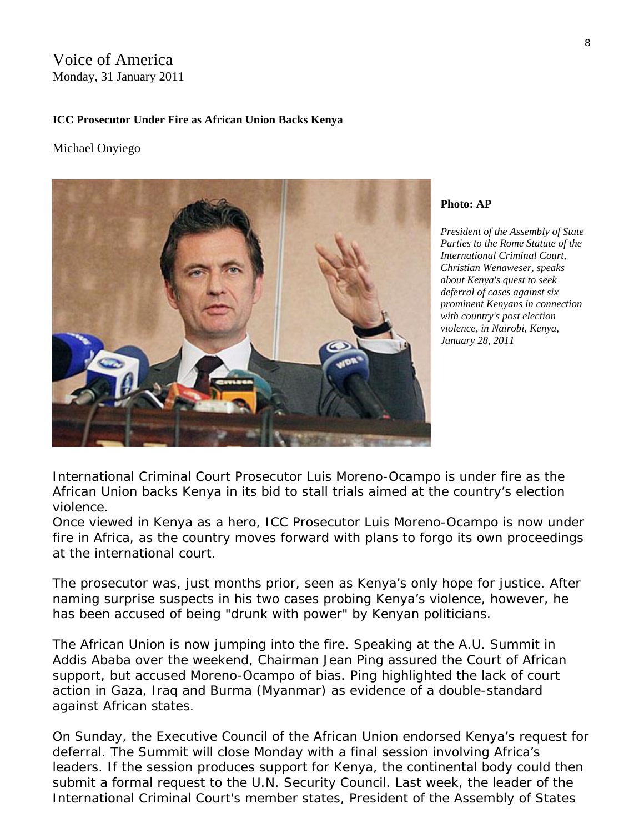## Voice of America Monday, 31 January 2011

#### **ICC Prosecutor Under Fire as African Union Backs Kenya**

#### Michael Onyiego



**Photo: AP** 

*President of the Assembly of State Parties to the Rome Statute of the International Criminal Court, Christian Wenaweser, speaks about Kenya's quest to seek deferral of cases against six prominent Kenyans in connection with country's post election violence, in Nairobi, Kenya, January 28, 2011* 

International Criminal Court Prosecutor Luis Moreno-Ocampo is under fire as the African Union backs Kenya in its bid to stall trials aimed at the country's election violence.

Once viewed in Kenya as a hero, ICC Prosecutor Luis Moreno-Ocampo is now under fire in Africa, as the country moves forward with plans to forgo its own proceedings at the international court.

The prosecutor was, just months prior, seen as Kenya's only hope for justice. After naming surprise suspects in his two cases probing Kenya's violence, however, he has been accused of being "drunk with power" by Kenyan politicians.

The African Union is now jumping into the fire. Speaking at the A.U. Summit in Addis Ababa over the weekend, Chairman Jean Ping assured the Court of African support, but accused Moreno-Ocampo of bias. Ping highlighted the lack of court action in Gaza, Iraq and Burma (Myanmar) as evidence of a double-standard against African states.

On Sunday, the Executive Council of the African Union endorsed Kenya's request for deferral. The Summit will close Monday with a final session involving Africa's leaders. If the session produces support for Kenya, the continental body could then submit a formal request to the U.N. Security Council. Last week, the leader of the International Criminal Court's member states, President of the Assembly of States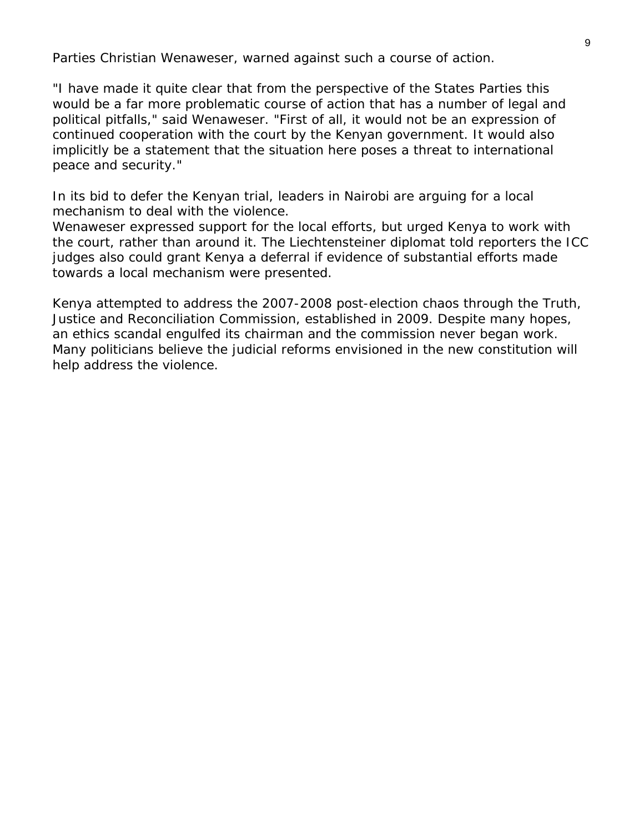Parties Christian Wenaweser, warned against such a course of action.

"I have made it quite clear that from the perspective of the States Parties this would be a far more problematic course of action that has a number of legal and political pitfalls," said Wenaweser. "First of all, it would not be an expression of continued cooperation with the court by the Kenyan government. It would also implicitly be a statement that the situation here poses a threat to international peace and security."

In its bid to defer the Kenyan trial, leaders in Nairobi are arguing for a local mechanism to deal with the violence.

Wenaweser expressed support for the local efforts, but urged Kenya to work with the court, rather than around it. The Liechtensteiner diplomat told reporters the ICC judges also could grant Kenya a deferral if evidence of substantial efforts made towards a local mechanism were presented.

Kenya attempted to address the 2007-2008 post-election chaos through the Truth, Justice and Reconciliation Commission, established in 2009. Despite many hopes, an ethics scandal engulfed its chairman and the commission never began work. Many politicians believe the judicial reforms envisioned in the new constitution will help address the violence.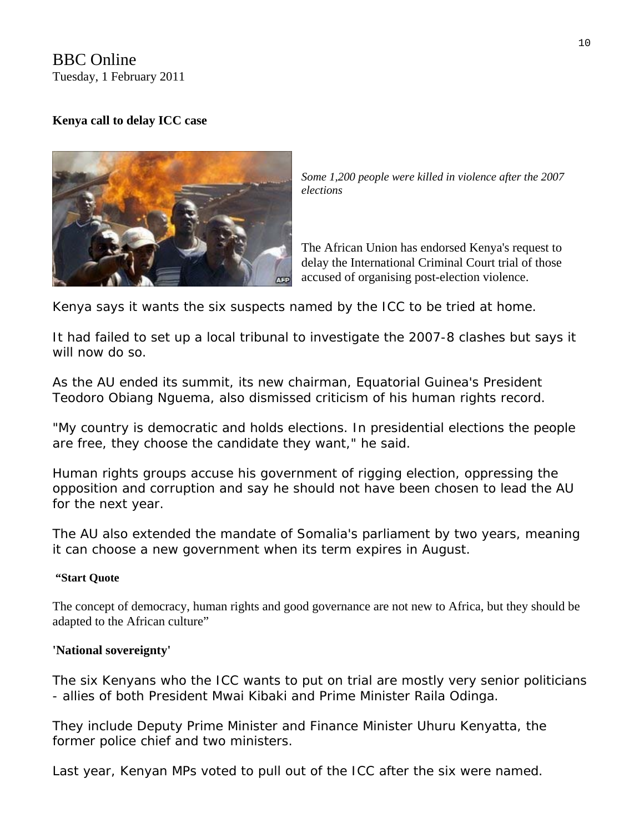BBC Online Tuesday, 1 February 2011

## **Kenya call to delay ICC case**



*Some 1,200 people were killed in violence after the 2007 elections* 

The African Union has endorsed Kenya's request to delay the International Criminal Court trial of those accused of organising post-election violence.

Kenya says it wants the six suspects named by the ICC to be tried at home.

It had failed to set up a local tribunal to investigate the 2007-8 clashes but says it will now do so.

As the AU ended its summit, its new chairman, Equatorial Guinea's President Teodoro Obiang Nguema, also dismissed criticism of his human rights record.

"My country is democratic and holds elections. In presidential elections the people are free, they choose the candidate they want," he said.

Human rights groups accuse his government of rigging election, oppressing the opposition and corruption and say he should not have been chosen to lead the AU for the next year.

The AU also extended the mandate of Somalia's parliament by two years, meaning it can choose a new government when its term expires in August.

#### **"Start Quote**

The concept of democracy, human rights and good governance are not new to Africa, but they should be adapted to the African culture"

#### **'National sovereignty'**

The six Kenyans who the ICC wants to put on trial are mostly very senior politicians - allies of both President Mwai Kibaki and Prime Minister Raila Odinga.

They include Deputy Prime Minister and Finance Minister Uhuru Kenyatta, the former police chief and two ministers.

Last year, Kenyan MPs voted to pull out of the ICC after the six were named.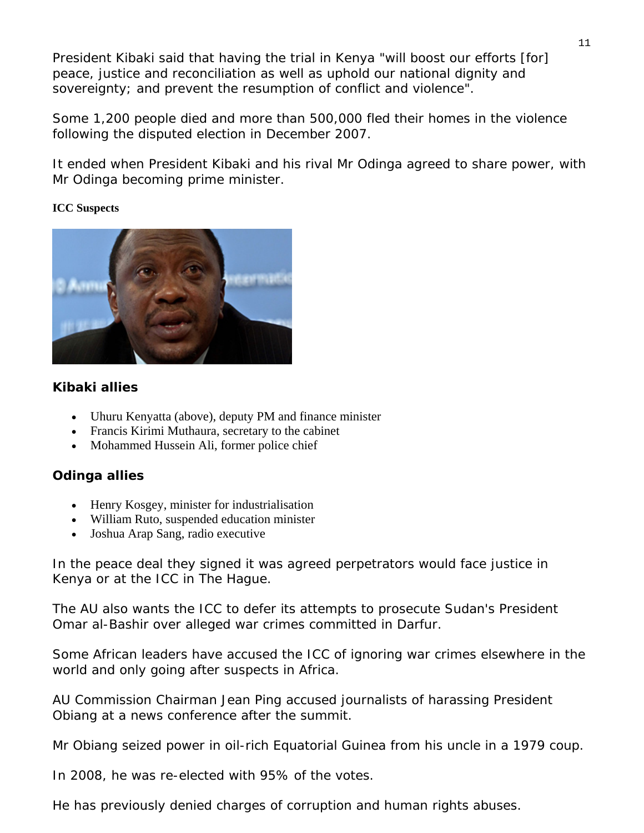President Kibaki said that having the trial in Kenya "will boost our efforts [for] peace, justice and reconciliation as well as uphold our national dignity and sovereignty; and prevent the resumption of conflict and violence".

Some 1,200 people died and more than 500,000 fled their homes in the violence following the disputed election in December 2007.

It ended when President Kibaki and his rival Mr Odinga agreed to share power, with Mr Odinga becoming prime minister.

### **ICC Suspects**



## **Kibaki allies**

- Uhuru Kenyatta (above), deputy PM and finance minister
- Francis Kirimi Muthaura, secretary to the cabinet
- Mohammed Hussein Ali, former police chief

## **Odinga allies**

- Henry Kosgey, minister for industrialisation
- William Ruto, suspended education minister
- Joshua Arap Sang, radio executive

In the peace deal they signed it was agreed perpetrators would face justice in Kenya or at the ICC in The Hague.

The AU also wants the ICC to defer its attempts to prosecute Sudan's President Omar al-Bashir over alleged war crimes committed in Darfur.

Some African leaders have accused the ICC of ignoring war crimes elsewhere in the world and only going after suspects in Africa.

AU Commission Chairman Jean Ping accused journalists of harassing President Obiang at a news conference after the summit.

Mr Obiang seized power in oil-rich Equatorial Guinea from his uncle in a 1979 coup.

In 2008, he was re-elected with 95% of the votes.

He has previously denied charges of corruption and human rights abuses.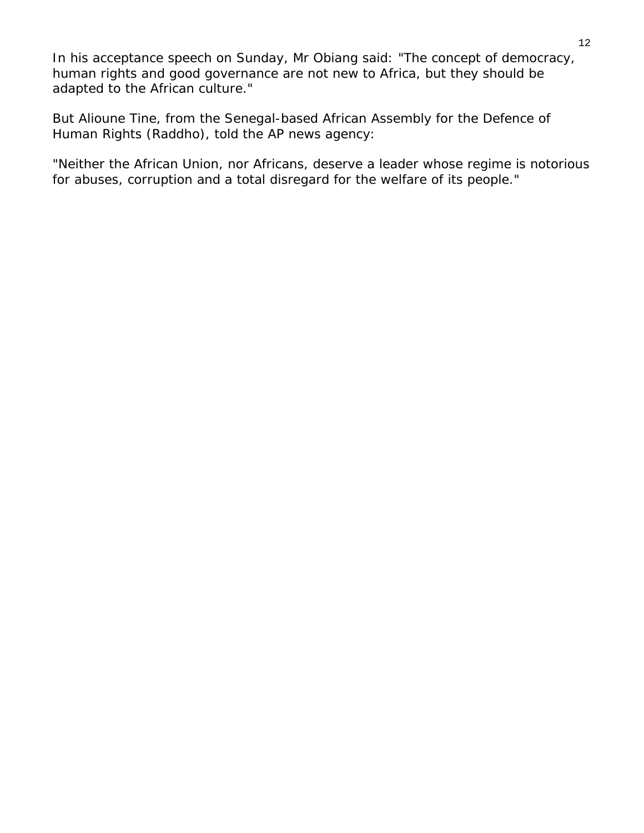In his acceptance speech on Sunday, Mr Obiang said: "The concept of democracy, human rights and good governance are not new to Africa, but they should be adapted to the African culture."

But Alioune Tine, from the Senegal-based African Assembly for the Defence of Human Rights (Raddho), told the AP news agency:

"Neither the African Union, nor Africans, deserve a leader whose regime is notorious for abuses, corruption and a total disregard for the welfare of its people."